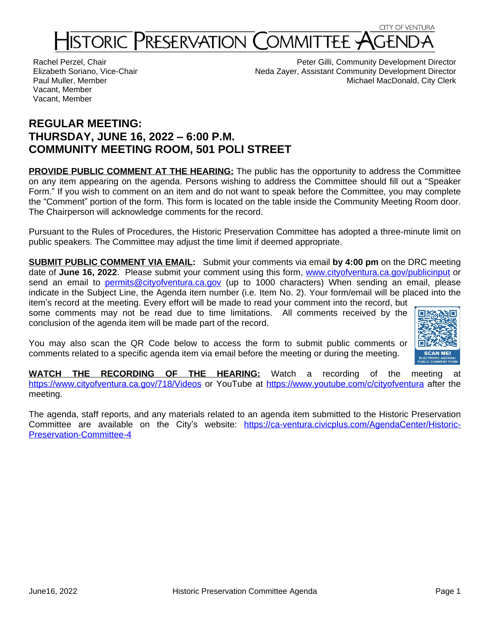# STORIC PRESERVATION COMMIT

Rachel Perzel, Chair Elizabeth Soriano, Vice-Chair Paul Muller, Member Vacant, Member Vacant, Member

Peter Gilli, Community Development Director Neda Zayer, Assistant Community Development Director Michael MacDonald, City Clerk

# **REGULAR MEETING: THURSDAY, JUNE 16, 2022 – 6:00 P.M. COMMUNITY MEETING ROOM, 501 POLI STREET**

**PROVIDE PUBLIC COMMENT AT THE HEARING:** The public has the opportunity to address the Committee on any item appearing on the agenda. Persons wishing to address the Committee should fill out a "Speaker Form." If you wish to comment on an item and do not want to speak before the Committee, you may complete the "Comment" portion of the form. This form is located on the table inside the Community Meeting Room door. The Chairperson will acknowledge comments for the record.

Pursuant to the Rules of Procedures, the Historic Preservation Committee has adopted a three-minute limit on public speakers. The Committee may adjust the time limit if deemed appropriate.

**SUBMIT PUBLIC COMMENT VIA EMAIL:** Submit your comments via email **by 4:00 pm** on the DRC meeting date of **June 16, 2022**. Please submit your comment using this form, [www.cityofventura.ca.gov/publicinput](http://www.cityofventura.ca.gov/publicinput) or send an email to [permits@cityofventura.ca.gov](mailto:permits@cityofventura.ca.gov) (up to 1000 characters) When sending an email, please indicate in the Subject Line, the Agenda item number (i.e. Item No. 2). Your form/email will be placed into the item's record at the meeting. Every effort will be made to read your comment into the record, but

some comments may not be read due to time limitations. All comments received by the conclusion of the agenda item will be made part of the record.

You may also scan the QR Code below to access the form to submit public comments or comments related to a specific agenda item via email before the meeting or during the meeting.



**WATCH THE RECORDING OF THE HEARING:** Watch a recording of the meeting at <https://www.cityofventura.ca.gov/718/Videos> or YouTube at <https://www.youtube.com/c/cityofventura> after the meeting.

The agenda, staff reports, and any materials related to an agenda item submitted to the Historic Preservation Committee are available on the City's website: [https://ca-ventura.civicplus.com/AgendaCenter/Historic-](https://ca-ventura.civicplus.com/AgendaCenter/Historic-Preservation-Committee-4)Preservation-Committee-4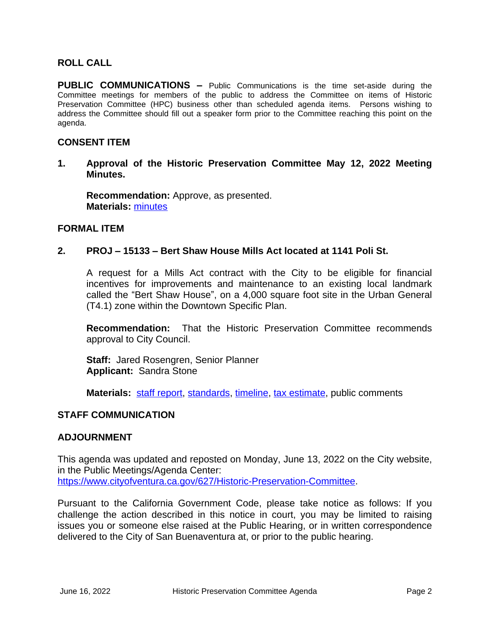# **ROLL CALL**

**PUBLIC COMMUNICATIONS –** Public Communications is the time set-aside during the Committee meetings for members of the public to address the Committee on items of Historic Preservation Committee (HPC) business other than scheduled agenda items. Persons wishing to address the Committee should fill out a speaker form prior to the Committee reaching this point on the agenda.

# **CONSENT ITEM**

**1. Approval of the Historic Preservation Committee May 12, 2022 Meeting Minutes.**

**Recommendation:** Approve, as presented. **Materials:** [minutes](https://www.cityofventura.ca.gov/DocumentCenter/View/31919/05122-HPC-Minutes---DRAFT)

#### **FORMAL ITEM**

# **2. PROJ – 15133 – Bert Shaw House Mills Act located at 1141 Poli St.**

A request for a Mills Act contract with the City to be eligible for financial incentives for improvements and maintenance to an existing local landmark called the "Bert Shaw House", on a 4,000 square foot site in the Urban General (T4.1) zone within the Downtown Specific Plan.

**Recommendation:** That the Historic Preservation Committee recommends approval to City Council.

**Staff:** Jared Rosengren, Senior Planner **Applicant:** Sandra Stone

**Materials:** [staff report](https://www.cityofventura.ca.gov/DocumentCenter/View/31918/PROJ-15133-1141-Poli-MILLS-SR), [standards](https://www.cityofventura.ca.gov/DocumentCenter/View/31925/EXHIBIT-B-Legal-Description-Sec-of-Int-standards), [timeline](https://www.cityofventura.ca.gov/DocumentCenter/View/31924/Exhibit-C-Preservation-Timeline), [tax estimate,](https://www.cityofventura.ca.gov/DocumentCenter/View/31923/Exhibit-D-Mills-Act-tax-estimate-1141-poli) public comments

# **STAFF COMMUNICATION**

# **ADJOURNMENT**

This agenda was updated and reposted on Monday, June 13, 2022 on the City website, in the Public Meetings/Agenda Center: <https://www.cityofventura.ca.gov/627/Historic-Preservation-Committee>.

Pursuant to the California Government Code, please take notice as follows: If you challenge the action described in this notice in court, you may be limited to raising issues you or someone else raised at the Public Hearing, or in written correspondence delivered to the City of San Buenaventura at, or prior to the public hearing.